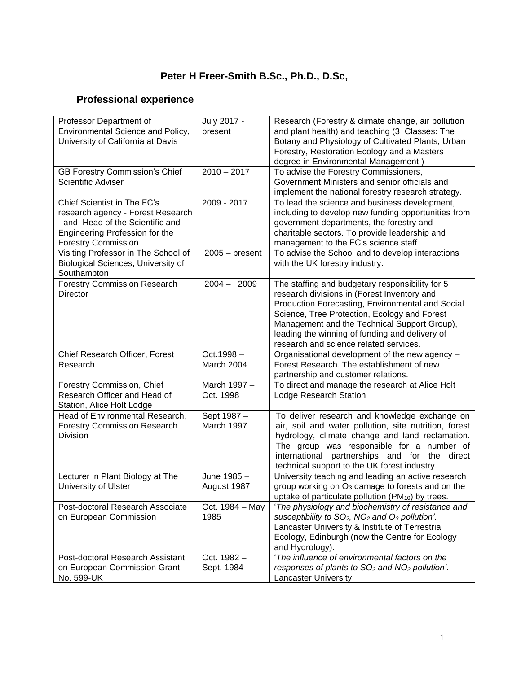# **Peter H Freer-Smith B.Sc., Ph.D., D.Sc,**

# **Professional experience**

| Professor Department of<br>Environmental Science and Policy,<br>University of California at Davis                                                                    | July 2017 -<br>present     | Research (Forestry & climate change, air pollution<br>and plant health) and teaching (3 Classes: The<br>Botany and Physiology of Cultivated Plants, Urban<br>Forestry, Restoration Ecology and a Masters<br>degree in Environmental Management)                                                                                                |
|----------------------------------------------------------------------------------------------------------------------------------------------------------------------|----------------------------|------------------------------------------------------------------------------------------------------------------------------------------------------------------------------------------------------------------------------------------------------------------------------------------------------------------------------------------------|
| <b>GB Forestry Commission's Chief</b><br>Scientific Adviser                                                                                                          | $2010 - 2017$              | To advise the Forestry Commissioners,<br>Government Ministers and senior officials and<br>implement the national forestry research strategy.                                                                                                                                                                                                   |
| Chief Scientist in The FC's<br>research agency - Forest Research<br>- and Head of the Scientific and<br>Engineering Profession for the<br><b>Forestry Commission</b> | 2009 - 2017                | To lead the science and business development,<br>including to develop new funding opportunities from<br>government departments, the forestry and<br>charitable sectors. To provide leadership and<br>management to the FC's science staff.                                                                                                     |
| Visiting Professor in The School of<br>Biological Sciences, University of<br>Southampton                                                                             | $2005 - present$           | To advise the School and to develop interactions<br>with the UK forestry industry.                                                                                                                                                                                                                                                             |
| <b>Forestry Commission Research</b><br><b>Director</b>                                                                                                               | $2004 - 2009$              | The staffing and budgetary responsibility for 5<br>research divisions in (Forest Inventory and<br>Production Forecasting, Environmental and Social<br>Science, Tree Protection, Ecology and Forest<br>Management and the Technical Support Group),<br>leading the winning of funding and delivery of<br>research and science related services. |
| Chief Research Officer, Forest<br>Research                                                                                                                           | $Oct.1998 -$<br>March 2004 | Organisational development of the new agency -<br>Forest Research. The establishment of new<br>partnership and customer relations.                                                                                                                                                                                                             |
| Forestry Commission, Chief<br>Research Officer and Head of<br>Station, Alice Holt Lodge                                                                              | March 1997 -<br>Oct. 1998  | To direct and manage the research at Alice Holt<br>Lodge Research Station                                                                                                                                                                                                                                                                      |
| Head of Environmental Research,<br><b>Forestry Commission Research</b><br>Division                                                                                   | Sept 1987 -<br>March 1997  | To deliver research and knowledge exchange on<br>air, soil and water pollution, site nutrition, forest<br>hydrology, climate change and land reclamation.<br>The group was responsible for a number of<br>international partnerships and for the direct<br>technical support to the UK forest industry.                                        |
| Lecturer in Plant Biology at The<br>University of Ulster                                                                                                             | June 1985 -<br>August 1987 | University teaching and leading an active research<br>group working on O <sub>3</sub> damage to forests and on the<br>uptake of particulate pollution (PM <sub>10</sub> ) by trees.                                                                                                                                                            |
| Post-doctoral Research Associate<br>on European Commission                                                                                                           | Oct. 1984 - May<br>1985    | 'The physiology and biochemistry of resistance and<br>susceptibility to SO <sub>2</sub> , NO <sub>2</sub> and O <sub>3</sub> pollution'.                                                                                                                                                                                                       |
|                                                                                                                                                                      |                            | Lancaster University & Institute of Terrestrial<br>Ecology, Edinburgh (now the Centre for Ecology<br>and Hydrology).                                                                                                                                                                                                                           |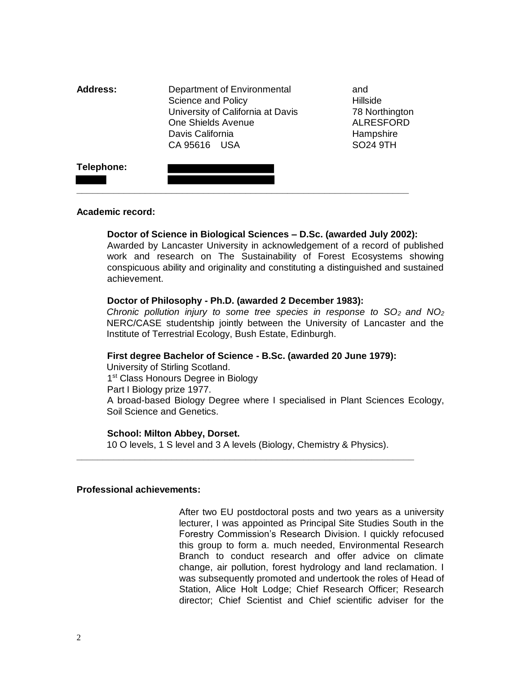| <b>Address:</b> | Department of Environmental<br>Science and Policy<br>University of California at Davis<br>One Shields Avenue<br>Davis California<br>CA 95616 USA | and<br><b>Hillside</b><br>78 Northington<br><b>ALRESFORD</b><br>Hampshire<br><b>SO24 9TH</b> |
|-----------------|--------------------------------------------------------------------------------------------------------------------------------------------------|----------------------------------------------------------------------------------------------|
| Telephone:      |                                                                                                                                                  |                                                                                              |

#### **Academic record:**

#### **Doctor of Science in Biological Sciences – D.Sc. (awarded July 2002):**

Awarded by Lancaster University in acknowledgement of a record of published work and research on The Sustainability of Forest Ecosystems showing conspicuous ability and originality and constituting a distinguished and sustained achievement.

#### **Doctor of Philosophy - Ph.D. (awarded 2 December 1983):**

*Chronic pollution injury to some tree species in response to SO2 and NO<sup>2</sup>* NERC/CASE studentship jointly between the University of Lancaster and the Institute of Terrestrial Ecology, Bush Estate, Edinburgh.

#### **First degree Bachelor of Science - B.Sc. (awarded 20 June 1979):**

University of Stirling Scotland. 1<sup>st</sup> Class Honours Degree in Biology Part I Biology prize 1977. A broad-based Biology Degree where I specialised in Plant Sciences Ecology, Soil Science and Genetics.

#### **School: Milton Abbey, Dorset.**

10 O levels, 1 S level and 3 A levels (Biology, Chemistry & Physics). **\_\_\_\_\_\_\_\_\_\_\_\_\_\_\_\_\_\_\_\_\_\_\_\_\_\_\_\_\_\_\_\_\_\_\_\_\_\_\_\_\_\_\_\_\_\_\_\_\_\_\_\_\_\_\_\_\_\_\_\_\_\_\_\_**

#### **Professional achievements:**

After two EU postdoctoral posts and two years as a university lecturer, I was appointed as Principal Site Studies South in the Forestry Commission's Research Division. I quickly refocused this group to form a. much needed, Environmental Research Branch to conduct research and offer advice on climate change, air pollution, forest hydrology and land reclamation. I was subsequently promoted and undertook the roles of Head of Station, Alice Holt Lodge; Chief Research Officer; Research director; Chief Scientist and Chief scientific adviser for the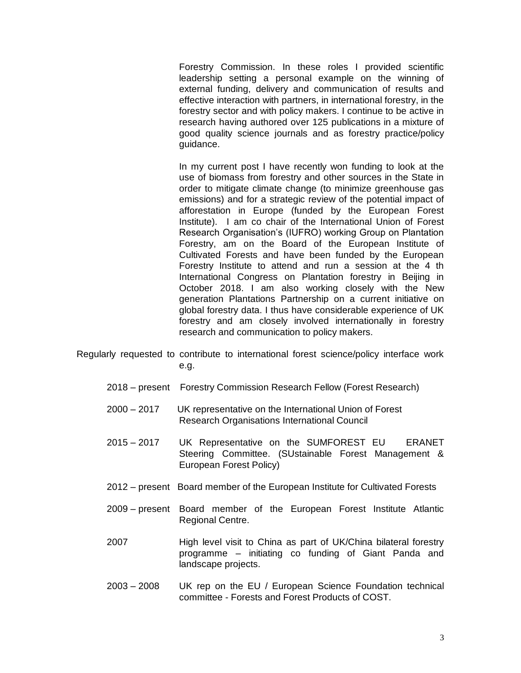Forestry Commission. In these roles I provided scientific leadership setting a personal example on the winning of external funding, delivery and communication of results and effective interaction with partners, in international forestry, in the forestry sector and with policy makers. I continue to be active in research having authored over 125 publications in a mixture of good quality science journals and as forestry practice/policy guidance.

In my current post I have recently won funding to look at the use of biomass from forestry and other sources in the State in order to mitigate climate change (to minimize greenhouse gas emissions) and for a strategic review of the potential impact of afforestation in Europe (funded by the European Forest Institute). I am co chair of the International Union of Forest Research Organisation's (IUFRO) working Group on Plantation Forestry, am on the Board of the European Institute of Cultivated Forests and have been funded by the European Forestry Institute to attend and run a session at the 4 th International Congress on Plantation forestry in Beijing in October 2018. I am also working closely with the New generation Plantations Partnership on a current initiative on global forestry data. I thus have considerable experience of UK forestry and am closely involved internationally in forestry research and communication to policy makers.

- Regularly requested to contribute to international forest science/policy interface work e.g.
	- 2018 present Forestry Commission Research Fellow (Forest Research)
	- 2000 2017 UK representative on the International Union of Forest Research Organisations International Council
	- 2015 2017 UK Representative on the SUMFOREST EU ERANET Steering Committee. (SUstainable Forest Management & European Forest Policy)
	- 2012 present Board member of the European Institute for Cultivated Forests
	- 2009 present Board member of the European Forest Institute Atlantic Regional Centre.
	- 2007 High level visit to China as part of UK/China bilateral forestry programme – initiating co funding of Giant Panda and landscape projects.
	- 2003 2008 UK rep on the EU / European Science Foundation technical committee - Forests and Forest Products of COST.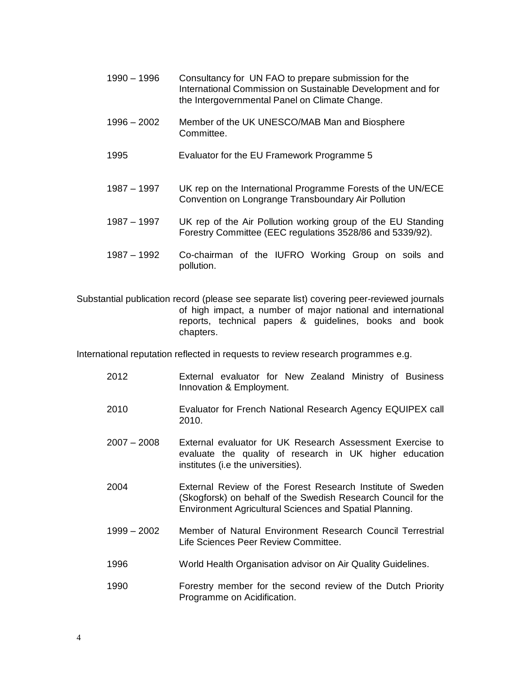- 1990 1996 Consultancy for UN FAO to prepare submission for the International Commission on Sustainable Development and for the Intergovernmental Panel on Climate Change.
- 1996 2002 Member of the UK UNESCO/MAB Man and Biosphere Committee.
- 1995 Evaluator for the EU Framework Programme 5
- 1987 1997 UK rep on the International Programme Forests of the UN/ECE Convention on Longrange Transboundary Air Pollution
- 1987 1997 UK rep of the Air Pollution working group of the EU Standing Forestry Committee (EEC regulations 3528/86 and 5339/92).
- 1987 1992 Co-chairman of the IUFRO Working Group on soils and pollution.

Substantial publication record (please see separate list) covering peer-reviewed journals of high impact, a number of major national and international reports, technical papers & guidelines, books and book chapters.

International reputation reflected in requests to review research programmes e.g.

- 2012 External evaluator for New Zealand Ministry of Business Innovation & Employment.
- 2010 Evaluator for French National Research Agency EQUIPEX call 2010.
- 2007 2008 External evaluator for UK Research Assessment Exercise to evaluate the quality of research in UK higher education institutes (i.e the universities).
- 2004 External Review of the Forest Research Institute of Sweden (Skogforsk) on behalf of the Swedish Research Council for the Environment Agricultural Sciences and Spatial Planning.
- 1999 2002 Member of Natural Environment Research Council Terrestrial Life Sciences Peer Review Committee.
- 1996 World Health Organisation advisor on Air Quality Guidelines.
- 1990 Forestry member for the second review of the Dutch Priority Programme on Acidification.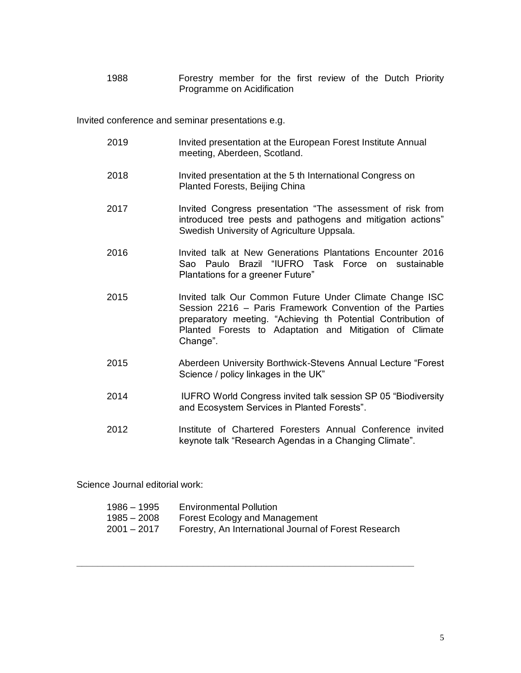1988 Forestry member for the first review of the Dutch Priority Programme on Acidification

Invited conference and seminar presentations e.g.

2019 Invited presentation at the European Forest Institute Annual meeting, Aberdeen, Scotland. 2018 Invited presentation at the 5 th International Congress on Planted Forests, Beijing China 2017 Invited Congress presentation "The assessment of risk from introduced tree pests and pathogens and mitigation actions" Swedish University of Agriculture Uppsala. 2016 Invited talk at New Generations Plantations Encounter 2016 Sao Paulo Brazil "IUFRO Task Force on sustainable Plantations for a greener Future" 2015 Invited talk Our Common Future Under Climate Change ISC Session 2216 – Paris Framework Convention of the Parties preparatory meeting. "Achieving th Potential Contribution of Planted Forests to Adaptation and Mitigation of Climate Change". 2015 Aberdeen University Borthwick-Stevens Annual Lecture "Forest Science / policy linkages in the UK" 2014 IUFRO World Congress invited talk session SP 05 "Biodiversity and Ecosystem Services in Planted Forests". 2012 Institute of Chartered Foresters Annual Conference invited keynote talk "Research Agendas in a Changing Climate".

Science Journal editorial work:

| 1986 – 1995 | <b>Environmental Pollution</b>                        |
|-------------|-------------------------------------------------------|
| 1985 – 2008 | Forest Ecology and Management                         |
| 2001 – 2017 | Forestry, An International Journal of Forest Research |

**\_\_\_\_\_\_\_\_\_\_\_\_\_\_\_\_\_\_\_\_\_\_\_\_\_\_\_\_\_\_\_\_\_\_\_\_\_\_\_\_\_\_\_\_\_\_\_\_\_\_\_\_\_\_\_\_\_\_\_\_\_\_\_\_**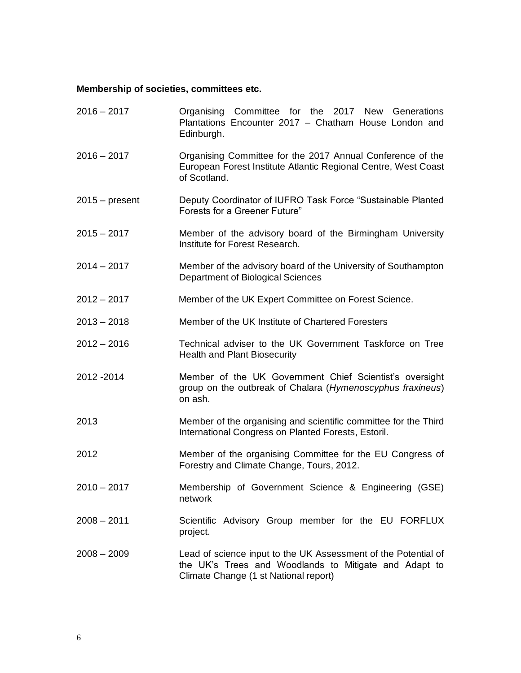### **Membership of societies, committees etc.**

| $2016 - 2017$    | Organising Committee for the 2017 New Generations<br>Plantations Encounter 2017 - Chatham House London and<br>Edinburgh.                                         |
|------------------|------------------------------------------------------------------------------------------------------------------------------------------------------------------|
| $2016 - 2017$    | Organising Committee for the 2017 Annual Conference of the<br>European Forest Institute Atlantic Regional Centre, West Coast<br>of Scotland.                     |
| $2015 - present$ | Deputy Coordinator of IUFRO Task Force "Sustainable Planted<br><b>Forests for a Greener Future"</b>                                                              |
| $2015 - 2017$    | Member of the advisory board of the Birmingham University<br>Institute for Forest Research.                                                                      |
| $2014 - 2017$    | Member of the advisory board of the University of Southampton<br>Department of Biological Sciences                                                               |
| $2012 - 2017$    | Member of the UK Expert Committee on Forest Science.                                                                                                             |
| $2013 - 2018$    | Member of the UK Institute of Chartered Foresters                                                                                                                |
| $2012 - 2016$    | Technical adviser to the UK Government Taskforce on Tree<br><b>Health and Plant Biosecurity</b>                                                                  |
| 2012 - 2014      | Member of the UK Government Chief Scientist's oversight<br>group on the outbreak of Chalara (Hymenoscyphus fraxineus)<br>on ash.                                 |
| 2013             | Member of the organising and scientific committee for the Third<br>International Congress on Planted Forests, Estoril.                                           |
| 2012             | Member of the organising Committee for the EU Congress of<br>Forestry and Climate Change, Tours, 2012.                                                           |
| $2010 - 2017$    | Membership of Government Science & Engineering (GSE)<br>network                                                                                                  |
| $2008 - 2011$    | Scientific Advisory Group member for the EU FORFLUX<br>project.                                                                                                  |
| $2008 - 2009$    | Lead of science input to the UK Assessment of the Potential of<br>the UK's Trees and Woodlands to Mitigate and Adapt to<br>Climate Change (1 st National report) |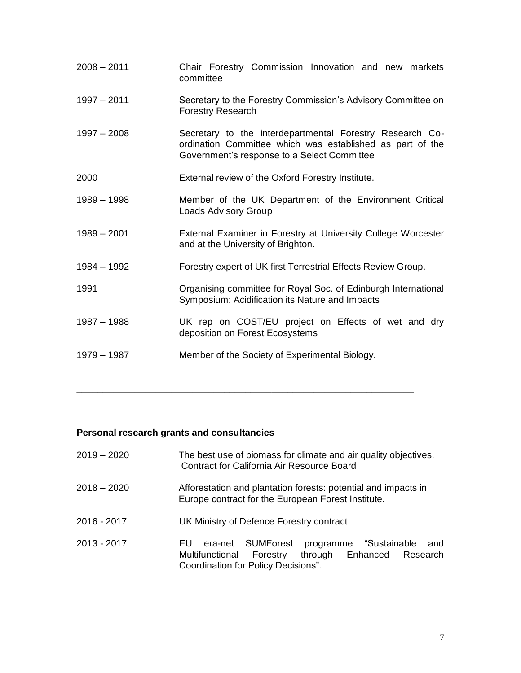| $2008 - 2011$ | Chair Forestry Commission Innovation and new markets<br>committee                                                                                                    |
|---------------|----------------------------------------------------------------------------------------------------------------------------------------------------------------------|
| $1997 - 2011$ | Secretary to the Forestry Commission's Advisory Committee on<br><b>Forestry Research</b>                                                                             |
| $1997 - 2008$ | Secretary to the interdepartmental Forestry Research Co-<br>ordination Committee which was established as part of the<br>Government's response to a Select Committee |
| 2000          | External review of the Oxford Forestry Institute.                                                                                                                    |
| $1989 - 1998$ | Member of the UK Department of the Environment Critical<br><b>Loads Advisory Group</b>                                                                               |
| $1989 - 2001$ | External Examiner in Forestry at University College Worcester<br>and at the University of Brighton.                                                                  |
| $1984 - 1992$ | Forestry expert of UK first Terrestrial Effects Review Group.                                                                                                        |
| 1991          | Organising committee for Royal Soc. of Edinburgh International<br>Symposium: Acidification its Nature and Impacts                                                    |
| $1987 - 1988$ | UK rep on COST/EU project on Effects of wet and dry<br>deposition on Forest Ecosystems                                                                               |
| $1979 - 1987$ | Member of the Society of Experimental Biology.                                                                                                                       |

# **Personal research grants and consultancies**

| $2019 - 2020$ | The best use of biomass for climate and air quality objectives.<br>Contract for California Air Resource Board                                                     |
|---------------|-------------------------------------------------------------------------------------------------------------------------------------------------------------------|
| $2018 - 2020$ | Afforestation and plantation forests: potential and impacts in<br>Europe contract for the European Forest Institute.                                              |
| 2016 - 2017   | UK Ministry of Defence Forestry contract                                                                                                                          |
| 2013 - 2017   | programme "Sustainable<br>SUMForest<br>era-net<br>and<br>EU<br>through Enhanced<br>Multifunctional<br>Forestry<br>Research<br>Coordination for Policy Decisions". |

**\_\_\_\_\_\_\_\_\_\_\_\_\_\_\_\_\_\_\_\_\_\_\_\_\_\_\_\_\_\_\_\_\_\_\_\_\_\_\_\_\_\_\_\_\_\_\_\_\_\_\_\_\_\_\_\_\_\_\_\_\_\_\_\_**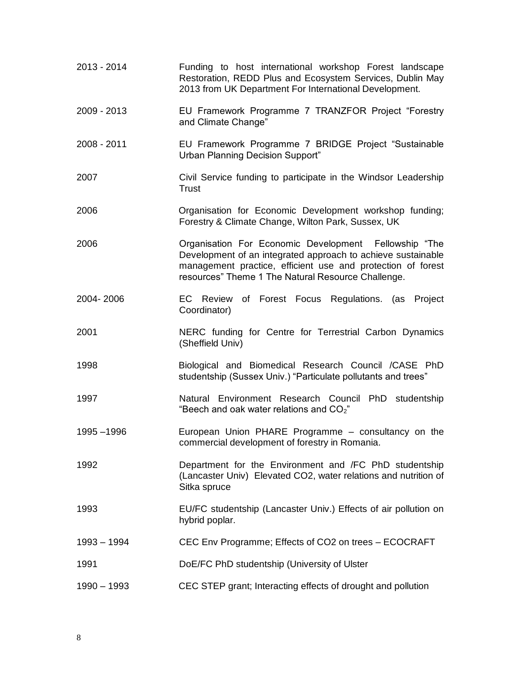| 2013 - 2014   | Funding to host international workshop Forest landscape<br>Restoration, REDD Plus and Ecosystem Services, Dublin May<br>2013 from UK Department For International Development.                                                             |
|---------------|--------------------------------------------------------------------------------------------------------------------------------------------------------------------------------------------------------------------------------------------|
| 2009 - 2013   | EU Framework Programme 7 TRANZFOR Project "Forestry<br>and Climate Change"                                                                                                                                                                 |
| 2008 - 2011   | EU Framework Programme 7 BRIDGE Project "Sustainable<br><b>Urban Planning Decision Support"</b>                                                                                                                                            |
| 2007          | Civil Service funding to participate in the Windsor Leadership<br><b>Trust</b>                                                                                                                                                             |
| 2006          | Organisation for Economic Development workshop funding;<br>Forestry & Climate Change, Wilton Park, Sussex, UK                                                                                                                              |
| 2006          | Organisation For Economic Development Fellowship "The<br>Development of an integrated approach to achieve sustainable<br>management practice, efficient use and protection of forest<br>resources" Theme 1 The Natural Resource Challenge. |
| 2004-2006     | EC Review of Forest Focus Regulations. (as Project<br>Coordinator)                                                                                                                                                                         |
| 2001          | NERC funding for Centre for Terrestrial Carbon Dynamics<br>(Sheffield Univ)                                                                                                                                                                |
| 1998          | Biological and Biomedical Research Council / CASE PhD<br>studentship (Sussex Univ.) "Particulate pollutants and trees"                                                                                                                     |
| 1997          | Natural Environment Research Council PhD studentship<br>"Beech and oak water relations and $CO2$ "                                                                                                                                         |
| 1995 - 1996   | European Union PHARE Programme - consultancy on the<br>commercial development of forestry in Romania.                                                                                                                                      |
| 1992          | Department for the Environment and /FC PhD studentship<br>(Lancaster Univ) Elevated CO2, water relations and nutrition of<br>Sitka spruce                                                                                                  |
| 1993          | EU/FC studentship (Lancaster Univ.) Effects of air pollution on<br>hybrid poplar.                                                                                                                                                          |
| $1993 - 1994$ | CEC Env Programme; Effects of CO2 on trees - ECOCRAFT                                                                                                                                                                                      |
| 1991          | DoE/FC PhD studentship (University of Ulster                                                                                                                                                                                               |
| $1990 - 1993$ | CEC STEP grant; Interacting effects of drought and pollution                                                                                                                                                                               |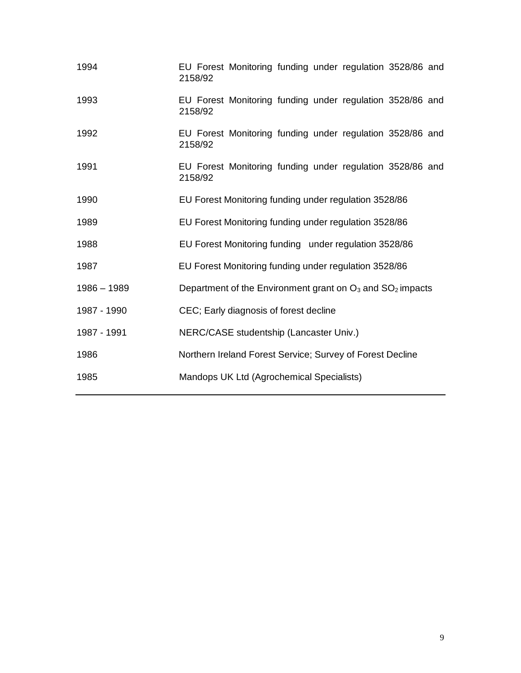| 1994          | EU Forest Monitoring funding under regulation 3528/86 and<br>2158/92 |
|---------------|----------------------------------------------------------------------|
| 1993          | EU Forest Monitoring funding under regulation 3528/86 and<br>2158/92 |
| 1992          | EU Forest Monitoring funding under regulation 3528/86 and<br>2158/92 |
| 1991          | EU Forest Monitoring funding under regulation 3528/86 and<br>2158/92 |
| 1990          | EU Forest Monitoring funding under regulation 3528/86                |
| 1989          | EU Forest Monitoring funding under regulation 3528/86                |
| 1988          | EU Forest Monitoring funding under regulation 3528/86                |
| 1987          | EU Forest Monitoring funding under regulation 3528/86                |
| $1986 - 1989$ | Department of the Environment grant on $O_3$ and $SO_2$ impacts      |
| 1987 - 1990   | CEC; Early diagnosis of forest decline                               |
| 1987 - 1991   | NERC/CASE studentship (Lancaster Univ.)                              |
| 1986          | Northern Ireland Forest Service; Survey of Forest Decline            |
| 1985          | Mandops UK Ltd (Agrochemical Specialists)                            |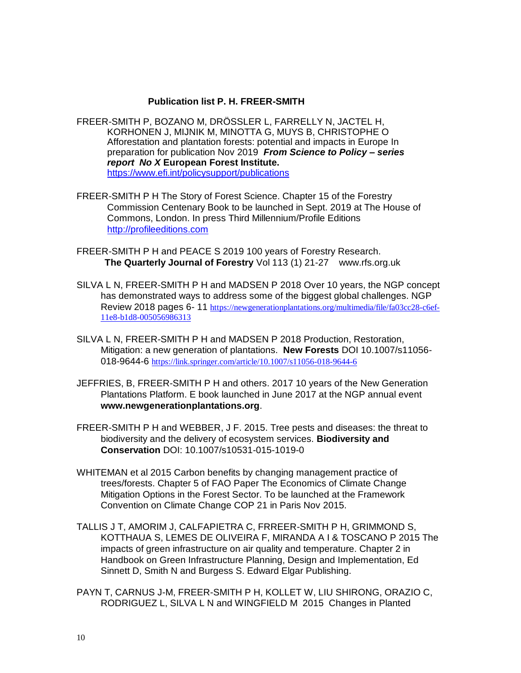#### **Publication list P. H. FREER-SMITH**

- FREER-SMITH P, BOZANO M, DRÖSSLER L, FARRELLY N, JACTEL H, KORHONEN J, MIJNIK M, MINOTTA G, MUYS B, CHRISTOPHE O Afforestation and plantation forests: potential and impacts in Europe In preparation for publication Nov 2019 *From Science to Policy – series report No X* **European Forest Institute.** <https://www.efi.int/policysupport/publications>
- FREER-SMITH P H The Story of Forest Science. Chapter 15 of the Forestry Commission Centenary Book to be launched in Sept. 2019 at The House of Commons, London. In press Third Millennium/Profile Editions [http://profileeditions.com](http://profileeditions.com/)
- FREER-SMITH P H and PEACE S 2019 100 years of Forestry Research. **The Quarterly Journal of Forestry** Vol 113 (1) 21-27 www.rfs.org.uk
- SILVA L N, FREER-SMITH P H and MADSEN P 2018 Over 10 years, the NGP concept has demonstrated ways to address some of the biggest global challenges. NGP Review 2018 pages 6- 11 [https://newgenerationplantations.org/multimedia/file/fa03cc28-c6ef-](https://newgenerationplantations.org/multimedia/file/fa03cc28-c6ef-11e8-b1d8-005056986313)[11e8-b1d8-005056986313](https://newgenerationplantations.org/multimedia/file/fa03cc28-c6ef-11e8-b1d8-005056986313)
- SILVA L N, FREER-SMITH P H and MADSEN P 2018 Production, Restoration, Mitigation: a new generation of plantations. **New Forests** DOI 10.1007/s11056 018-9644-6 <https://link.springer.com/article/10.1007/s11056-018-9644-6>
- JEFFRIES, B, FREER-SMITH P H and others. 2017 10 years of the New Generation Plantations Platform. E book launched in June 2017 at the NGP annual event **www.newgenerationplantations.org**.
- FREER-SMITH P H and WEBBER, J F. 2015. Tree pests and diseases: the threat to biodiversity and the delivery of ecosystem services. **Biodiversity and Conservation** DOI: 10.1007/s10531-015-1019-0
- WHITEMAN et al 2015 Carbon benefits by changing management practice of trees/forests. Chapter 5 of FAO Paper The Economics of Climate Change Mitigation Options in the Forest Sector. To be launched at the Framework Convention on Climate Change COP 21 in Paris Nov 2015.
- TALLIS J T, AMORIM J, CALFAPIETRA C, FRREER-SMITH P H, GRIMMOND S, KOTTHAUA S, LEMES DE OLIVEIRA F, MIRANDA A I & TOSCANO P 2015 The impacts of green infrastructure on air quality and temperature. Chapter 2 in Handbook on Green Infrastructure Planning, Design and Implementation, Ed Sinnett D, Smith N and Burgess S. Edward Elgar Publishing.
- PAYN T, CARNUS J-M, FREER-SMITH P H, KOLLET W, LIU SHIRONG, ORAZIO C, RODRIGUEZ L, SILVA L N and WINGFIELD M 2015 Changes in Planted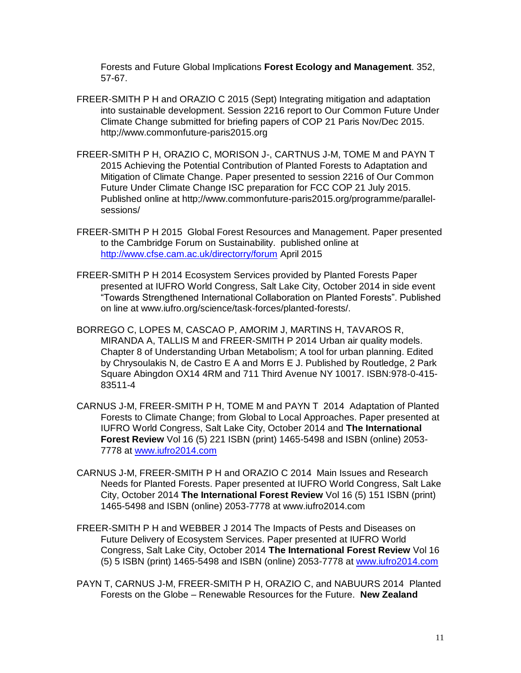Forests and Future Global Implications **Forest Ecology and Management**. 352, 57-67.

- FREER-SMITH P H and ORAZIO C 2015 (Sept) Integrating mitigation and adaptation into sustainable development. Session 2216 report to Our Common Future Under Climate Change submitted for briefing papers of COP 21 Paris Nov/Dec 2015. http;//www.commonfuture-paris2015.org
- FREER-SMITH P H, ORAZIO C, MORISON J-, CARTNUS J-M, TOME M and PAYN T 2015 Achieving the Potential Contribution of Planted Forests to Adaptation and Mitigation of Climate Change. Paper presented to session 2216 of Our Common Future Under Climate Change ISC preparation for FCC COP 21 July 2015. Published online at http;//www.commonfuture-paris2015.org/programme/parallelsessions/
- FREER-SMITH P H 2015 Global Forest Resources and Management. Paper presented to the Cambridge Forum on Sustainability. published online at <http://www.cfse.cam.ac.uk/directorry/forum> April 2015
- FREER-SMITH P H 2014 Ecosystem Services provided by Planted Forests Paper presented at IUFRO World Congress, Salt Lake City, October 2014 in side event "Towards Strengthened International Collaboration on Planted Forests". Published on line at www.iufro.org/science/task-forces/planted-forests/.
- BORREGO C, LOPES M, CASCAO P, AMORIM J, MARTINS H, TAVAROS R, MIRANDA A, TALLIS M and FREER-SMITH P 2014 Urban air quality models. Chapter 8 of Understanding Urban Metabolism; A tool for urban planning. Edited by Chrysoulakis N, de Castro E A and Morrs E J. Published by Routledge, 2 Park Square Abingdon OX14 4RM and 711 Third Avenue NY 10017. ISBN:978-0-415- 83511-4
- CARNUS J-M, FREER-SMITH P H, TOME M and PAYN T 2014 Adaptation of Planted Forests to Climate Change; from Global to Local Approaches. Paper presented at IUFRO World Congress, Salt Lake City, October 2014 and **The International Forest Review** Vol 16 (5) 221 ISBN (print) 1465-5498 and ISBN (online) 2053- 7778 at [www.iufro2014.com](http://www.iufro2014.com/)
- CARNUS J-M, FREER-SMITH P H and ORAZIO C 2014 Main Issues and Research Needs for Planted Forests. Paper presented at IUFRO World Congress, Salt Lake City, October 2014 **The International Forest Review** Vol 16 (5) 151 ISBN (print) 1465-5498 and ISBN (online) 2053-7778 at www.iufro2014.com
- FREER-SMITH P H and WEBBER J 2014 The Impacts of Pests and Diseases on Future Delivery of Ecosystem Services. Paper presented at IUFRO World Congress, Salt Lake City, October 2014 **The International Forest Review** Vol 16 (5) 5 ISBN (print) 1465-5498 and ISBN (online) 2053-7778 at [www.iufro2014.com](http://www.iufro2014.com/)
- PAYN T, CARNUS J-M, FREER-SMITH P H, ORAZIO C, and NABUURS 2014 Planted Forests on the Globe – Renewable Resources for the Future. **New Zealand**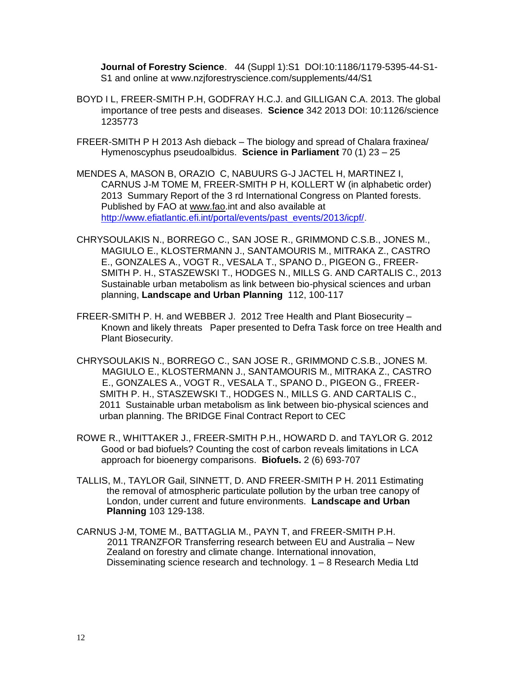**Journal of Forestry Science**. 44 (Suppl 1):S1 DOI:10:1186/1179-5395-44-S1- S1 and online at www.nzjforestryscience.com/supplements/44/S1

- BOYD I L, FREER-SMITH P.H, GODFRAY H.C.J. and GILLIGAN C.A. 2013. The global importance of tree pests and diseases. **Science** 342 2013 DOI: 10:1126/science 1235773
- FREER-SMITH P H 2013 Ash dieback The biology and spread of Chalara fraxinea/ Hymenoscyphus pseudoalbidus. **Science in Parliament** 70 (1) 23 – 25
- MENDES A, MASON B, ORAZIO C, NABUURS G-J JACTEL H, MARTINEZ I, CARNUS J-M TOME M, FREER-SMITH P H, KOLLERT W (in alphabetic order) 2013 Summary Report of the 3 rd International Congress on Planted forests. Published by FAO at [www.fao.](http://www.fao/)int and also available at [http://www.efiatlantic.efi.int/portal/events/past\\_events/2013/icpf/.](http://www.efiatlantic.efi.int/portal/events/past_events/2013/icpf/)
- CHRYSOULAKIS N., BORREGO C., SAN JOSE R., GRIMMOND C.S.B., JONES M., MAGIULO E., KLOSTERMANN J., SANTAMOURIS M., MITRAKA Z., CASTRO E., GONZALES A., VOGT R., VESALA T., SPANO D., PIGEON G., FREER-SMITH P. H., STASZEWSKI T., HODGES N., MILLS G. AND CARTALIS C., 2013 Sustainable urban metabolism as link between bio-physical sciences and urban planning, **Landscape and Urban Planning** 112, 100-117
- FREER-SMITH P. H. and WEBBER J. 2012 Tree Health and Plant Biosecurity Known and likely threats Paper presented to Defra Task force on tree Health and Plant Biosecurity.
- CHRYSOULAKIS N., BORREGO C., SAN JOSE R., GRIMMOND C.S.B., JONES M. MAGIULO E., KLOSTERMANN J., SANTAMOURIS M., MITRAKA Z., CASTRO E., GONZALES A., VOGT R., VESALA T., SPANO D., PIGEON G., FREER- SMITH P. H., STASZEWSKI T., HODGES N., MILLS G. AND CARTALIS C., 2011 Sustainable urban metabolism as link between bio-physical sciences and urban planning. The BRIDGE Final Contract Report to CEC
- ROWE R., WHITTAKER J., FREER-SMITH P.H., HOWARD D. and TAYLOR G. 2012 Good or bad biofuels? Counting the cost of carbon reveals limitations in LCA approach for bioenergy comparisons. **Biofuels.** 2 (6) 693-707
- TALLIS, M., TAYLOR Gail, SINNETT, D. AND FREER-SMITH P H. 2011 Estimating the removal of atmospheric particulate pollution by the urban tree canopy of London, under current and future environments. **Landscape and Urban Planning** 103 129-138.
- CARNUS J-M, TOME M., BATTAGLIA M., PAYN T, and FREER-SMITH P.H. 2011 TRANZFOR Transferring research between EU and Australia – New Zealand on forestry and climate change. International innovation, Disseminating science research and technology. 1 – 8 Research Media Ltd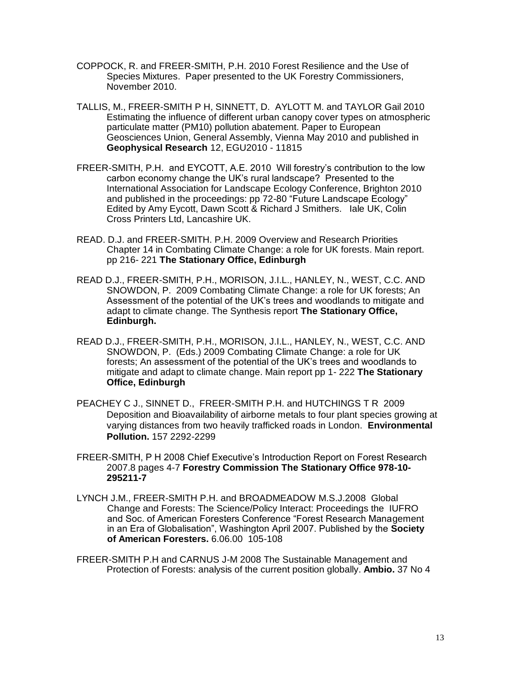- COPPOCK, R. and FREER-SMITH, P.H. 2010 Forest Resilience and the Use of Species Mixtures. Paper presented to the UK Forestry Commissioners, November 2010.
- TALLIS, M., FREER-SMITH P H, SINNETT, D. AYLOTT M. and TAYLOR Gail 2010 Estimating the influence of different urban canopy cover types on atmospheric particulate matter (PM10) pollution abatement. Paper to European Geosciences Union, General Assembly, Vienna May 2010 and published in **Geophysical Research** 12, EGU2010 - 11815
- FREER-SMITH, P.H. and EYCOTT, A.E. 2010 Will forestry's contribution to the low carbon economy change the UK's rural landscape? Presented to the International Association for Landscape Ecology Conference, Brighton 2010 and published in the proceedings: pp 72-80 "Future Landscape Ecology" Edited by Amy Eycott, Dawn Scott & Richard J Smithers. Iale UK, Colin Cross Printers Ltd, Lancashire UK.
- READ. D.J. and FREER-SMITH. P.H. 2009 Overview and Research Priorities Chapter 14 in Combating Climate Change: a role for UK forests. Main report. pp 216- 221 **The Stationary Office, Edinburgh**
- READ D.J., FREER-SMITH, P.H., MORISON, J.I.L., HANLEY, N., WEST, C.C. AND SNOWDON, P. 2009 Combating Climate Change: a role for UK forests; An Assessment of the potential of the UK's trees and woodlands to mitigate and adapt to climate change. The Synthesis report **The Stationary Office, Edinburgh.**
- READ D.J., FREER-SMITH, P.H., MORISON, J.I.L., HANLEY, N., WEST, C.C. AND SNOWDON, P. (Eds.) 2009 Combating Climate Change: a role for UK forests; An assessment of the potential of the UK's trees and woodlands to mitigate and adapt to climate change. Main report pp 1- 222 **The Stationary Office, Edinburgh**
- PEACHEY C J., SINNET D., FREER-SMITH P.H. and HUTCHINGS T R 2009 Deposition and Bioavailability of airborne metals to four plant species growing at varying distances from two heavily trafficked roads in London. **Environmental Pollution.** 157 2292-2299
- FREER-SMITH, P H 2008 Chief Executive's Introduction Report on Forest Research 2007.8 pages 4-7 **Forestry Commission The Stationary Office 978-10- 295211-7**
- LYNCH J.M., FREER-SMITH P.H. and BROADMEADOW M.S.J.2008 Global Change and Forests: The Science/Policy Interact: Proceedings the IUFRO and Soc. of American Foresters Conference "Forest Research Management in an Era of Globalisation", Washington April 2007. Published by the **Society of American Foresters.** 6.06.00 105-108
- FREER-SMITH P.H and CARNUS J-M 2008 The Sustainable Management and Protection of Forests: analysis of the current position globally. **Ambio.** 37 No 4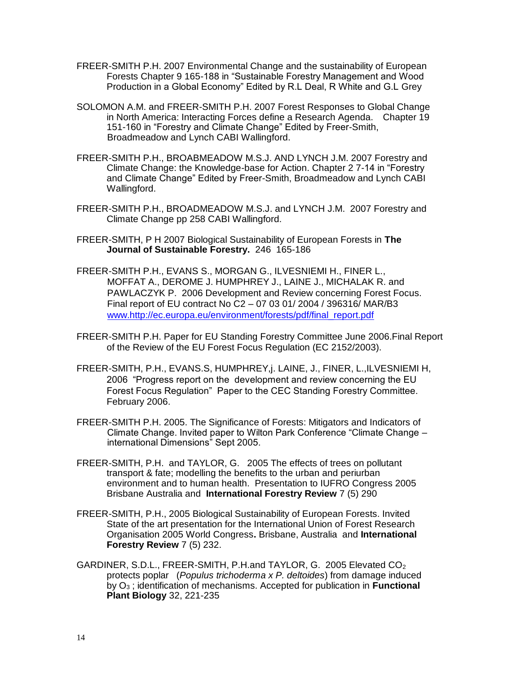- FREER-SMITH P.H. 2007 Environmental Change and the sustainability of European Forests Chapter 9 165-188 in "Sustainable Forestry Management and Wood Production in a Global Economy" Edited by R.L Deal, R White and G.L Grey
- SOLOMON A.M. and FREER-SMITH P.H. 2007 Forest Responses to Global Change in North America: Interacting Forces define a Research Agenda. Chapter 19 151-160 in "Forestry and Climate Change" Edited by Freer-Smith, Broadmeadow and Lynch CABI Wallingford.
- FREER-SMITH P.H., BROABMEADOW M.S.J. AND LYNCH J.M. 2007 Forestry and Climate Change: the Knowledge-base for Action. Chapter 2 7-14 in "Forestry and Climate Change" Edited by Freer-Smith, Broadmeadow and Lynch CABI Wallingford.
- FREER-SMITH P.H., BROADMEADOW M.S.J. and LYNCH J.M. 2007 Forestry and Climate Change pp 258 CABI Wallingford.
- FREER-SMITH, P H 2007 Biological Sustainability of European Forests in **The Journal of Sustainable Forestry.** 246 165-186
- FREER-SMITH P.H., EVANS S., MORGAN G., ILVESNIEMI H., FINER L., MOFFAT A., DEROME J. HUMPHREY J., LAINE J., MICHALAK R. and PAWLACZYK P. 2006 Development and Review concerning Forest Focus. Final report of EU contract No C2 – 07 03 01/ 2004 / 396316/ MAR/B3 [www.http://ec.europa.eu/environment/forests/pdf/final\\_report.pdf](http://www.http/ec.europa.eu/environment/forests/pdf/final_report.pdf)
- FREER-SMITH P.H. Paper for EU Standing Forestry Committee June 2006.Final Report of the Review of the EU Forest Focus Regulation (EC 2152/2003).
- FREER-SMITH, P.H., EVANS.S, HUMPHREY,j. LAINE, J., FINER, L.,ILVESNIEMI H, 2006 "Progress report on the development and review concerning the EU Forest Focus Regulation" Paper to the CEC Standing Forestry Committee. February 2006.
- FREER-SMITH P.H. 2005. The Significance of Forests: Mitigators and Indicators of Climate Change. Invited paper to Wilton Park Conference "Climate Change – international Dimensions" Sept 2005.
- FREER-SMITH, P.H. and TAYLOR, G. 2005 The effects of trees on pollutant transport & fate; modelling the benefits to the urban and periurban environment and to human health. Presentation to IUFRO Congress 2005 Brisbane Australia and **International Forestry Review** 7 (5) 290
- FREER-SMITH, P.H., 2005 Biological Sustainability of European Forests. Invited State of the art presentation for the International Union of Forest Research Organisation 2005 World Congress**.** Brisbane, Australia and **International Forestry Review** 7 (5) 232.
- GARDINER, S.D.L., FREER-SMITH, P.H.and TAYLOR, G. 2005 Elevated  $CO<sub>2</sub>$ protects poplar (*Populus trichoderma x P. deltoides*) from damage induced by O<sup>3</sup> ; identification of mechanisms. Accepted for publication in **Functional Plant Biology** 32, 221-235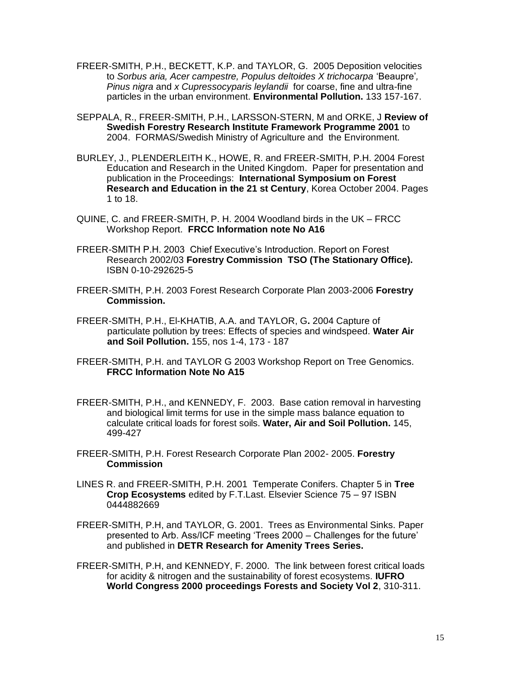- FREER-SMITH, P.H., BECKETT, K.P. and TAYLOR, G. 2005 Deposition velocities to *Sorbus aria, Acer campestre, Populus deltoides X trichocarpa* 'Beaupre'*, Pinus nigra* and *x Cupressocyparis leylandii* for coarse, fine and ultra-fine particles in the urban environment. **Environmental Pollution.** 133 157-167.
- SEPPALA, R., FREER-SMITH, P.H., LARSSON-STERN, M and ORKE, J **Review of Swedish Forestry Research Institute Framework Programme 2001** to 2004. FORMAS/Swedish Ministry of Agriculture and the Environment.
- BURLEY, J., PLENDERLEITH K., HOWE, R. and FREER-SMITH, P.H. 2004 Forest Education and Research in the United Kingdom. Paper for presentation and publication in the Proceedings: **International Symposium on Forest Research and Education in the 21 st Century**, Korea October 2004. Pages 1 to 18.
- QUINE, C. and FREER-SMITH, P. H. 2004 Woodland birds in the UK FRCC Workshop Report. **FRCC Information note No A16**
- FREER-SMITH P.H. 2003 Chief Executive's Introduction. Report on Forest Research 2002/03 **Forestry Commission TSO (The Stationary Office).**  ISBN 0-10-292625-5
- FREER-SMITH, P.H. 2003 Forest Research Corporate Plan 2003-2006 **Forestry Commission.**
- FREER-SMITH, P.H., El-KHATIB, A.A. and TAYLOR, G**.** 2004 Capture of particulate pollution by trees: Effects of species and windspeed. **Water Air and Soil Pollution.** 155, nos 1-4, 173 - 187
- FREER-SMITH, P.H. and TAYLOR G 2003 Workshop Report on Tree Genomics. **FRCC Information Note No A15**
- FREER-SMITH, P.H., and KENNEDY, F. 2003. Base cation removal in harvesting and biological limit terms for use in the simple mass balance equation to calculate critical loads for forest soils. **Water, Air and Soil Pollution.** 145, 499-427
- FREER-SMITH, P.H. Forest Research Corporate Plan 2002- 2005. **Forestry Commission**
- LINES R. and FREER-SMITH, P.H. 2001 Temperate Conifers. Chapter 5 in **Tree Crop Ecosystems** edited by F.T.Last. Elsevier Science 75 – 97 ISBN 0444882669
- FREER-SMITH, P.H, and TAYLOR, G. 2001. Trees as Environmental Sinks. Paper presented to Arb. Ass/ICF meeting 'Trees 2000 – Challenges for the future' and published in **DETR Research for Amenity Trees Series.**
- FREER-SMITH, P.H, and KENNEDY, F. 2000. The link between forest critical loads for acidity & nitrogen and the sustainability of forest ecosystems. **IUFRO World Congress 2000 proceedings Forests and Society Vol 2**, 310-311.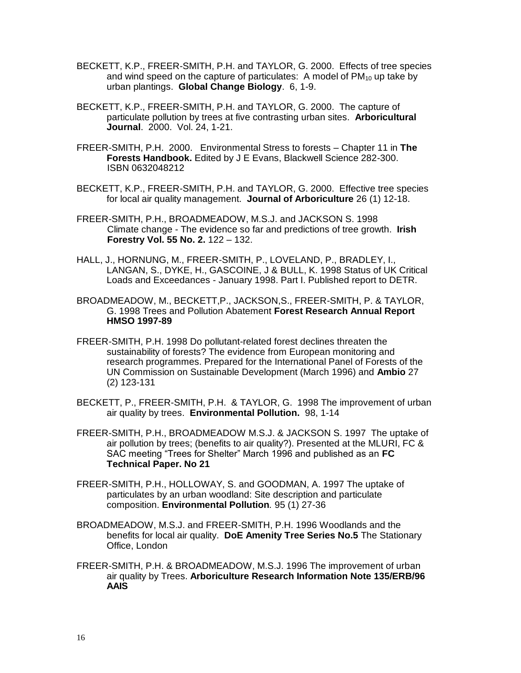- BECKETT, K.P., FREER-SMITH, P.H. and TAYLOR, G. 2000. Effects of tree species and wind speed on the capture of particulates: A model of  $PM_{10}$  up take by urban plantings. **Global Change Biology**. 6, 1-9.
- BECKETT, K.P., FREER-SMITH, P.H. and TAYLOR, G. 2000. The capture of particulate pollution by trees at five contrasting urban sites. **Arboricultural Journal**. 2000. Vol. 24, 1-21.
- FREER-SMITH, P.H. 2000. Environmental Stress to forests Chapter 11 in **The Forests Handbook.** Edited by J E Evans, Blackwell Science 282-300. ISBN 0632048212
- BECKETT, K.P., FREER-SMITH, P.H. and TAYLOR, G. 2000. Effective tree species for local air quality management. **Journal of Arboriculture** 26 (1) 12-18.
- FREER-SMITH, P.H., BROADMEADOW, M.S.J. and JACKSON S. 1998 Climate change - The evidence so far and predictions of tree growth. **Irish Forestry Vol. 55 No. 2.** 122 – 132.
- HALL, J., HORNUNG, M., FREER-SMITH, P., LOVELAND, P., BRADLEY, I., LANGAN, S., DYKE, H., GASCOINE, J & BULL, K. 1998 Status of UK Critical Loads and Exceedances - January 1998. Part I. Published report to DETR.
- BROADMEADOW, M., BECKETT,P., JACKSON,S., FREER-SMITH, P. & TAYLOR, G. 1998 Trees and Pollution Abatement **Forest Research Annual Report HMSO 1997-89**
- FREER-SMITH, P.H. 1998 Do pollutant-related forest declines threaten the sustainability of forests? The evidence from European monitoring and research programmes. Prepared for the International Panel of Forests of the UN Commission on Sustainable Development (March 1996) and **Ambio** 27 (2) 123-131
- BECKETT, P., FREER-SMITH, P.H. & TAYLOR, G. 1998 The improvement of urban air quality by trees. **Environmental Pollution.** 98, 1-14
- FREER-SMITH, P.H., BROADMEADOW M.S.J. & JACKSON S. 1997 The uptake of air pollution by trees; (benefits to air quality?). Presented at the MLURI, FC & SAC meeting "Trees for Shelter" March 1996 and published as an **FC Technical Paper. No 21**
- FREER-SMITH, P.H., HOLLOWAY, S. and GOODMAN, A. 1997 The uptake of particulates by an urban woodland: Site description and particulate composition. **Environmental Pollution***.* 95 (1) 27-36
- BROADMEADOW, M.S.J. and FREER-SMITH, P.H. 1996 Woodlands and the benefits for local air quality. **DoE Amenity Tree Series No.5** The Stationary Office, London
- FREER-SMITH, P.H. & BROADMEADOW, M.S.J. 1996 The improvement of urban air quality by Trees. **Arboriculture Research Information Note 135/ERB/96 AAIS**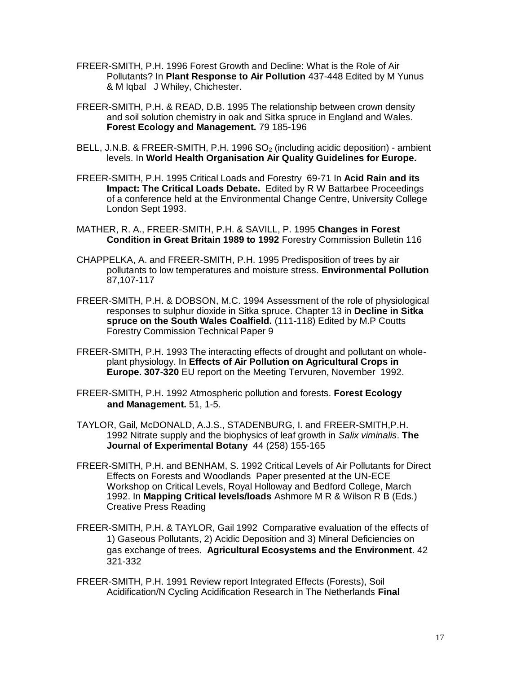- FREER-SMITH, P.H. 1996 Forest Growth and Decline: What is the Role of Air Pollutants? In **Plant Response to Air Pollution** 437-448 Edited by M Yunus & M Iqbal J Whiley, Chichester.
- FREER-SMITH, P.H. & READ, D.B. 1995 The relationship between crown density and soil solution chemistry in oak and Sitka spruce in England and Wales. **Forest Ecology and Management.** 79 185-196
- BELL, J.N.B. & FREER-SMITH, P.H. 1996 SO<sub>2</sub> (including acidic deposition) ambient levels. In **World Health Organisation Air Quality Guidelines for Europe.**
- FREER-SMITH, P.H. 1995 Critical Loads and Forestry 69-71 In **Acid Rain and its Impact: The Critical Loads Debate.** Edited by R W Battarbee Proceedings of a conference held at the Environmental Change Centre, University College London Sept 1993.
- MATHER, R. A., FREER-SMITH, P.H. & SAVILL, P. 1995 **Changes in Forest Condition in Great Britain 1989 to 1992** Forestry Commission Bulletin 116
- CHAPPELKA, A. and FREER-SMITH, P.H. 1995 Predisposition of trees by air pollutants to low temperatures and moisture stress. **Environmental Pollution** 87,107-117
- FREER-SMITH, P.H. & DOBSON, M.C. 1994 Assessment of the role of physiological responses to sulphur dioxide in Sitka spruce. Chapter 13 in **Decline in Sitka spruce on the South Wales Coalfield.** (111-118) Edited by M.P Coutts Forestry Commission Technical Paper 9
- FREER-SMITH, P.H. 1993 The interacting effects of drought and pollutant on wholeplant physiology. In **Effects of Air Pollution on Agricultural Crops in Europe. 307-320** EU report on the Meeting Tervuren, November 1992.
- FREER-SMITH, P.H. 1992 Atmospheric pollution and forests. **Forest Ecology and Management.** 51, 1-5.
- TAYLOR, Gail, McDONALD, A.J.S., STADENBURG, I. and FREER-SMITH,P.H. 1992 Nitrate supply and the biophysics of leaf growth in *Salix viminalis*. **The Journal of Experimental Botany** 44 (258) 155-165
- FREER-SMITH, P.H. and BENHAM, S. 1992 Critical Levels of Air Pollutants for Direct Effects on Forests and Woodlands Paper presented at the UN-ECE Workshop on Critical Levels, Royal Holloway and Bedford College, March 1992. In **Mapping Critical levels/loads** Ashmore M R & Wilson R B (Eds.) Creative Press Reading
- FREER-SMITH, P.H. & TAYLOR, Gail 1992 Comparative evaluation of the effects of 1) Gaseous Pollutants, 2) Acidic Deposition and 3) Mineral Deficiencies on gas exchange of trees. **Agricultural Ecosystems and the Environment**. 42 321-332
- FREER-SMITH, P.H. 1991 Review report Integrated Effects (Forests), Soil Acidification/N Cycling Acidification Research in The Netherlands **Final**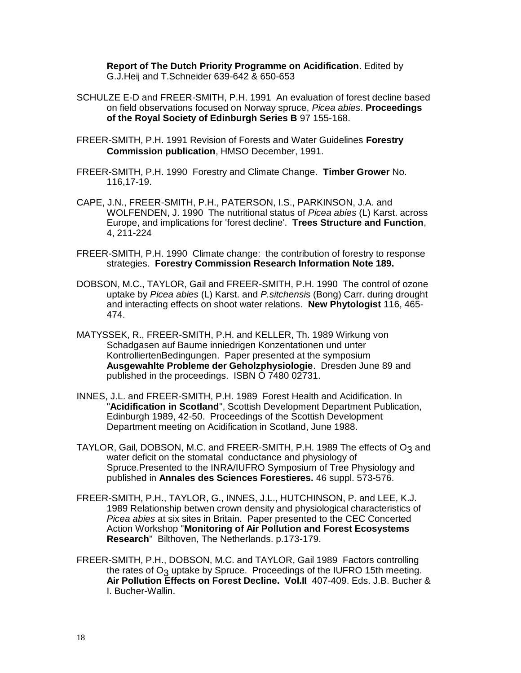**Report of The Dutch Priority Programme on Acidification**. Edited by G.J.Heij and T.Schneider 639-642 & 650-653

- SCHULZE E-D and FREER-SMITH, P.H. 1991 An evaluation of forest decline based on field observations focused on Norway spruce, *Picea abies*. **Proceedings of the Royal Society of Edinburgh Series B** 97 155-168.
- FREER-SMITH, P.H. 1991 Revision of Forests and Water Guidelines **Forestry Commission publication**, HMSO December, 1991.
- FREER-SMITH, P.H. 1990 Forestry and Climate Change. **Timber Grower** No. 116,17-19.
- CAPE, J.N., FREER-SMITH, P.H., PATERSON, I.S., PARKINSON, J.A. and WOLFENDEN, J. 1990 The nutritional status of *Picea abies* (L) Karst. across Europe, and implications for 'forest decline'. **Trees Structure and Function**, 4, 211-224
- FREER-SMITH, P.H. 1990 Climate change: the contribution of forestry to response strategies. **Forestry Commission Research Information Note 189.**
- DOBSON, M.C., TAYLOR, Gail and FREER-SMITH, P.H. 1990 The control of ozone uptake by *Picea abies* (L) Karst. and *P.sitchensis* (Bong) Carr. during drought and interacting effects on shoot water relations. **New Phytologist** 116, 465- 474.
- MATYSSEK, R., FREER-SMITH, P.H. and KELLER, Th. 1989 Wirkung von Schadgasen auf Baume inniedrigen Konzentationen und unter KontrolliertenBedingungen. Paper presented at the symposium **Ausgewahlte Probleme der Geholzphysiologie**. Dresden June 89 and published in the proceedings. ISBN O 7480 02731.
- INNES, J.L. and FREER-SMITH, P.H. 1989 Forest Health and Acidification. In "**Acidification in Scotland**", Scottish Development Department Publication, Edinburgh 1989, 42-50. Proceedings of the Scottish Development Department meeting on Acidification in Scotland, June 1988.
- TAYLOR, Gail, DOBSON, M.C. and FREER-SMITH, P.H. 1989 The effects of O<sub>3</sub> and water deficit on the stomatal conductance and physiology of Spruce.Presented to the INRA/IUFRO Symposium of Tree Physiology and published in **Annales des Sciences Forestieres.** 46 suppl. 573-576.
- FREER-SMITH, P.H., TAYLOR, G., INNES, J.L., HUTCHINSON, P. and LEE, K.J. 1989 Relationship betwen crown density and physiological characteristics of *Picea abies* at six sites in Britain. Paper presented to the CEC Concerted Action Workshop "**Monitoring of Air Pollution and Forest Ecosystems Research**" Bilthoven, The Netherlands. p.173-179.
- FREER-SMITH, P.H., DOBSON, M.C. and TAYLOR, Gail 1989 Factors controlling the rates of  $O_3$  uptake by Spruce. Proceedings of the IUFRO 15th meeting. **Air Pollution Effects on Forest Decline. Vol.II** 407-409. Eds. J.B. Bucher & I. Bucher-Wallin.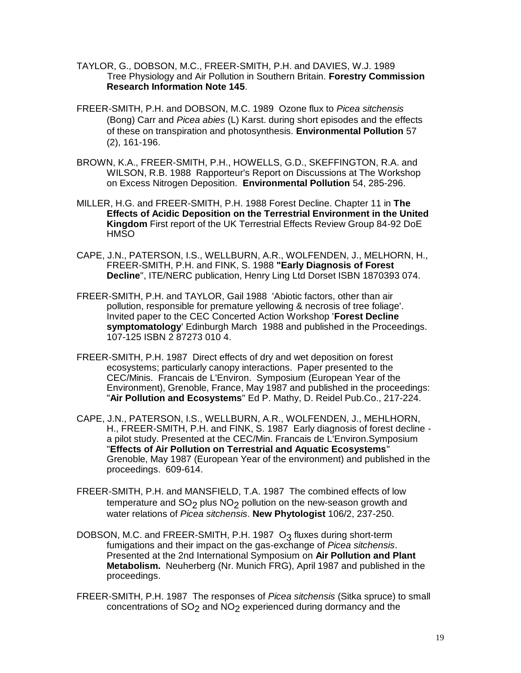- TAYLOR, G., DOBSON, M.C., FREER-SMITH, P.H. and DAVIES, W.J. 1989 Tree Physiology and Air Pollution in Southern Britain. **Forestry Commission Research Information Note 145**.
- FREER-SMITH, P.H. and DOBSON, M.C. 1989 Ozone flux to *Picea sitchensis* (Bong) Carr and *Picea abies* (L) Karst. during short episodes and the effects of these on transpiration and photosynthesis. **Environmental Pollution** 57 (2), 161-196.
- BROWN, K.A., FREER-SMITH, P.H., HOWELLS, G.D., SKEFFINGTON, R.A. and WILSON, R.B. 1988 Rapporteur's Report on Discussions at The Workshop on Excess Nitrogen Deposition. **Environmental Pollution** 54, 285-296.
- MILLER, H.G. and FREER-SMITH, P.H. 1988 Forest Decline. Chapter 11 in **The Effects of Acidic Deposition on the Terrestrial Environment in the United Kingdom** First report of the UK Terrestrial Effects Review Group 84-92 DoE HMSO
- CAPE, J.N., PATERSON, I.S., WELLBURN, A.R., WOLFENDEN, J., MELHORN, H., FREER-SMITH, P.H. and FINK, S. 1988 **"Early Diagnosis of Forest Decline**", ITE/NERC publication, Henry Ling Ltd Dorset ISBN 1870393 074.
- FREER-SMITH, P.H. and TAYLOR, Gail 1988 'Abiotic factors, other than air pollution, responsible for premature yellowing & necrosis of tree foliage'. Invited paper to the CEC Concerted Action Workshop '**Forest Decline symptomatology**' Edinburgh March 1988 and published in the Proceedings. 107-125 ISBN 2 87273 010 4.
- FREER-SMITH, P.H. 1987 Direct effects of dry and wet deposition on forest ecosystems; particularly canopy interactions. Paper presented to the CEC/Minis. Francais de L'Environ. Symposium (European Year of the Environment), Grenoble, France, May 1987 and published in the proceedings: "**Air Pollution and Ecosystems**" Ed P. Mathy, D. Reidel Pub.Co., 217-224.
- CAPE, J.N., PATERSON, I.S., WELLBURN, A.R., WOLFENDEN, J., MEHLHORN, H., FREER-SMITH, P.H. and FINK, S. 1987 Early diagnosis of forest decline a pilot study. Presented at the CEC/Min. Francais de L'Environ.Symposium "**Effects of Air Pollution on Terrestrial and Aquatic Ecosystems**" Grenoble, May 1987 (European Year of the environment) and published in the proceedings. 609-614.
- FREER-SMITH, P.H. and MANSFIELD, T.A. 1987 The combined effects of low temperature and  $SO<sub>2</sub>$  plus  $NO<sub>2</sub>$  pollution on the new-season growth and water relations of *Picea sitchensis*. **New Phytologist** 106/2, 237-250.
- DOBSON, M.C. and FREER-SMITH, P.H. 1987 O<sub>3</sub> fluxes during short-term fumigations and their impact on the gas-exchange of *Picea sitchensis*. Presented at the 2nd International Symposium on **Air Pollution and Plant Metabolism.** Neuherberg (Nr. Munich FRG), April 1987 and published in the proceedings.
- FREER-SMITH, P.H. 1987 The responses of *Picea sitchensis* (Sitka spruce) to small concentrations of SO<sub>2</sub> and NO<sub>2</sub> experienced during dormancy and the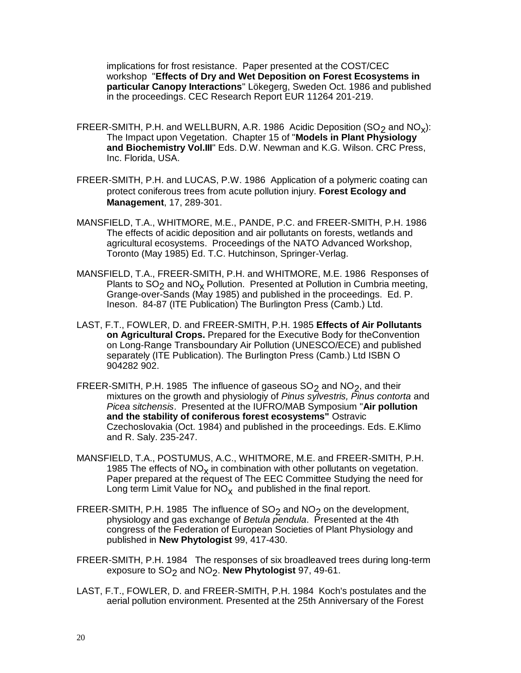implications for frost resistance. Paper presented at the COST/CEC workshop "**Effects of Dry and Wet Deposition on Forest Ecosystems in particular Canopy Interactions**" Lökegerg, Sweden Oct. 1986 and published in the proceedings. CEC Research Report EUR 11264 201-219.

- FREER-SMITH, P.H. and WELLBURN, A.R. 1986 Acidic Deposition (SO<sub>2</sub> and NO<sub>x</sub>): The Impact upon Vegetation. Chapter 15 of "**Models in Plant Physiology and Biochemistry Vol.III**" Eds. D.W. Newman and K.G. Wilson. CRC Press, Inc. Florida, USA.
- FREER-SMITH, P.H. and LUCAS, P.W. 1986 Application of a polymeric coating can protect coniferous trees from acute pollution injury. **Forest Ecology and Management**, 17, 289-301.
- MANSFIELD, T.A., WHITMORE, M.E., PANDE, P.C. and FREER-SMITH, P.H. 1986 The effects of acidic deposition and air pollutants on forests, wetlands and agricultural ecosystems. Proceedings of the NATO Advanced Workshop, Toronto (May 1985) Ed. T.C. Hutchinson, Springer-Verlag.
- MANSFIELD, T.A., FREER-SMITH, P.H. and WHITMORE, M.E. 1986 Responses of Plants to  $SO<sub>2</sub>$  and  $NO<sub>x</sub>$  Pollution. Presented at Pollution in Cumbria meeting, Grange-over-Sands (May 1985) and published in the proceedings. Ed. P. Ineson. 84-87 (ITE Publication) The Burlington Press (Camb.) Ltd.
- LAST, F.T., FOWLER, D. and FREER-SMITH, P.H. 1985 **Effects of Air Pollutants on Agricultural Crops.** Prepared for the Executive Body for theConvention on Long-Range Transboundary Air Pollution (UNESCO/ECE) and published separately (ITE Publication). The Burlington Press (Camb.) Ltd ISBN O 904282 902.
- FREER-SMITH, P.H. 1985 The influence of gaseous  $SO<sub>2</sub>$  and NO<sub>2</sub>, and their mixtures on the growth and physiologiy of *Pinus sylvestris, Pinus contorta* and *Picea sitchensis*. Presented at the IUFRO/MAB Symposium "**Air pollution and the stability of coniferous forest ecosystems"** Ostravic Czechoslovakia (Oct. 1984) and published in the proceedings. Eds. E.Klimo and R. Saly. 235-247.
- MANSFIELD, T.A., POSTUMUS, A.C., WHITMORE, M.E. and FREER-SMITH, P.H. 1985 The effects of  $NO<sub>x</sub>$  in combination with other pollutants on vegetation. Paper prepared at the request of The EEC Committee Studying the need for Long term Limit Value for  $\mathsf{NO}_{\mathsf{X}}$  and published in the final report.
- FREER-SMITH, P.H. 1985 The influence of  $SO<sub>2</sub>$  and  $NO<sub>2</sub>$  on the development, physiology and gas exchange of *Betula pendula*. Presented at the 4th congress of the Federation of European Societies of Plant Physiology and published in **New Phytologist** 99, 417-430.
- FREER-SMITH, P.H. 1984 The responses of six broadleaved trees during long-term exposure to SO<sub>2</sub> and NO<sub>2</sub>. New Phytologist 97, 49-61.
- LAST, F.T., FOWLER, D. and FREER-SMITH, P.H. 1984 Koch's postulates and the aerial pollution environment. Presented at the 25th Anniversary of the Forest